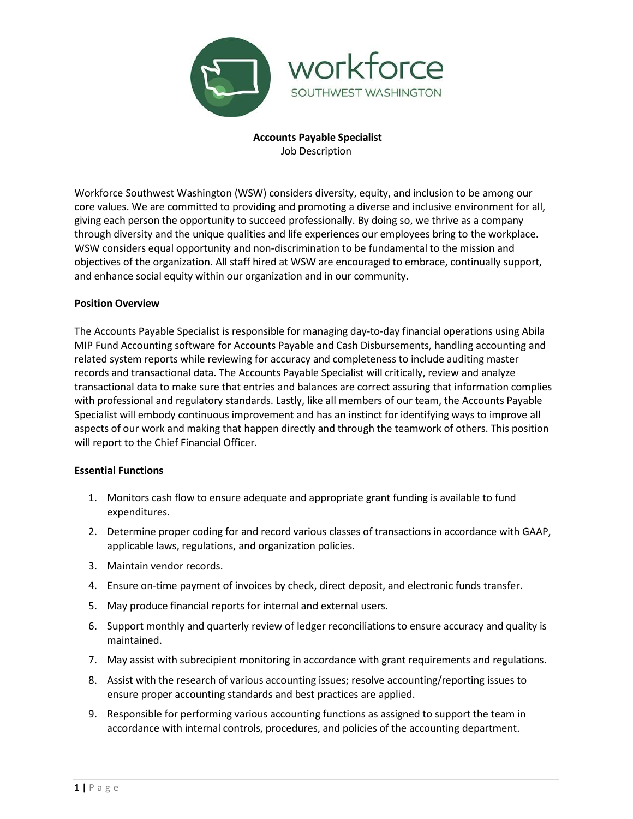

**Accounts Payable Specialist** Job Description

Workforce Southwest Washington (WSW) considers diversity, equity, and inclusion to be among our core values. We are committed to providing and promoting a diverse and inclusive environment for all, giving each person the opportunity to succeed professionally. By doing so, we thrive as a company through diversity and the unique qualities and life experiences our employees bring to the workplace. WSW considers equal opportunity and non-discrimination to be fundamental to the mission and objectives of the organization. All staff hired at WSW are encouraged to embrace, continually support, and enhance social equity within our organization and in our community.

#### **Position Overview**

The Accounts Payable Specialist is responsible for managing day-to-day financial operations using Abila MIP Fund Accounting software for Accounts Payable and Cash Disbursements, handling accounting and related system reports while reviewing for accuracy and completeness to include auditing master records and transactional data. The Accounts Payable Specialist will critically, review and analyze transactional data to make sure that entries and balances are correct assuring that information complies with professional and regulatory standards. Lastly, like all members of our team, the Accounts Payable Specialist will embody continuous improvement and has an instinct for identifying ways to improve all aspects of our work and making that happen directly and through the teamwork of others. This position will report to the Chief Financial Officer.

#### **Essential Functions**

- 1. Monitors cash flow to ensure adequate and appropriate grant funding is available to fund expenditures.
- 2. Determine proper coding for and record various classes of transactions in accordance with GAAP, applicable laws, regulations, and organization policies.
- 3. Maintain vendor records.
- 4. Ensure on-time payment of invoices by check, direct deposit, and electronic funds transfer.
- 5. May produce financial reports for internal and external users.
- 6. Support monthly and quarterly review of ledger reconciliations to ensure accuracy and quality is maintained.
- 7. May assist with subrecipient monitoring in accordance with grant requirements and regulations.
- 8. Assist with the research of various accounting issues; resolve accounting/reporting issues to ensure proper accounting standards and best practices are applied.
- 9. Responsible for performing various accounting functions as assigned to support the team in accordance with internal controls, procedures, and policies of the accounting department.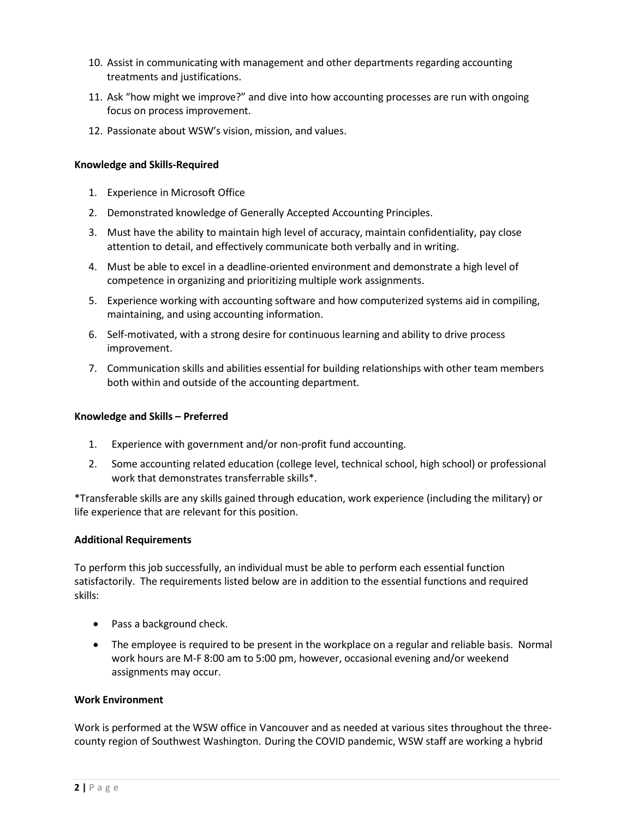- 10. Assist in communicating with management and other departments regarding accounting treatments and justifications.
- 11. Ask "how might we improve?" and dive into how accounting processes are run with ongoing focus on process improvement.
- 12. Passionate about WSW's vision, mission, and values.

# **Knowledge and Skills-Required**

- 1. Experience in Microsoft Office
- 2. Demonstrated knowledge of Generally Accepted Accounting Principles.
- 3. Must have the ability to maintain high level of accuracy, maintain confidentiality, pay close attention to detail, and effectively communicate both verbally and in writing.
- 4. Must be able to excel in a deadline-oriented environment and demonstrate a high level of competence in organizing and prioritizing multiple work assignments.
- 5. Experience working with accounting software and how computerized systems aid in compiling, maintaining, and using accounting information.
- 6. Self-motivated, with a strong desire for continuous learning and ability to drive process improvement.
- 7. Communication skills and abilities essential for building relationships with other team members both within and outside of the accounting department.

## **Knowledge and Skills – Preferred**

- 1. Experience with government and/or non-profit fund accounting.
- 2. Some accounting related education (college level, technical school, high school) or professional work that demonstrates transferrable skills\*.

\*Transferable skills are any skills gained through education, work experience (including the military) or life experience that are relevant for this position.

## **Additional Requirements**

To perform this job successfully, an individual must be able to perform each essential function satisfactorily. The requirements listed below are in addition to the essential functions and required skills:

- Pass a background check.
- The employee is required to be present in the workplace on a regular and reliable basis. Normal work hours are M-F 8:00 am to 5:00 pm, however, occasional evening and/or weekend assignments may occur.

# **Work Environment**

Work is performed at the WSW office in Vancouver and as needed at various sites throughout the threecounty region of Southwest Washington. During the COVID pandemic, WSW staff are working a hybrid